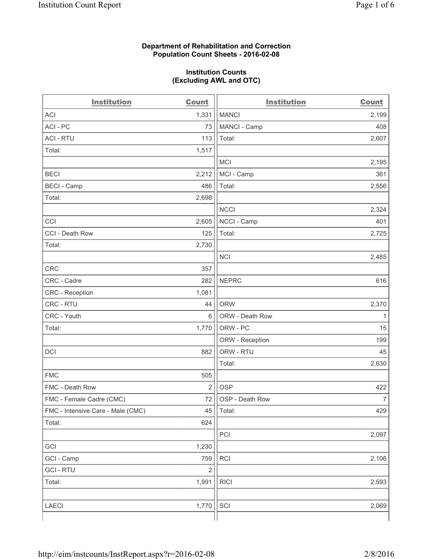#### **Department of Rehabilitation and Correction Population Count Sheets - 2016-02-08**

#### **Institution Counts (Excluding AWL and OTC)**

| <b>Institution</b>                | <b>Count</b>   | <b>Institution</b> | <b>Count</b>   |
|-----------------------------------|----------------|--------------------|----------------|
| <b>ACI</b>                        | 1,331          | <b>MANCI</b>       | 2,199          |
| ACI-PC                            | 73             | MANCI - Camp       | 408            |
| <b>ACI - RTU</b>                  | 113            | Total:             | 2,607          |
| Total:                            | 1,517          |                    |                |
|                                   |                | <b>MCI</b>         | 2,195          |
| <b>BECI</b>                       | 2,212          | MCI - Camp         | 361            |
| <b>BECI - Camp</b>                | 486            | Total:             | 2,556          |
| Total:                            | 2,698          |                    |                |
|                                   |                | <b>NCCI</b>        | 2,324          |
| CCI                               | 2,605          | NCCI - Camp        | 401            |
| CCI - Death Row                   | 125            | Total:             | 2,725          |
| Total:                            | 2,730          |                    |                |
|                                   |                | <b>NCI</b>         | 2,485          |
| <b>CRC</b>                        | 357            |                    |                |
| CRC - Cadre                       | 282            | <b>NEPRC</b>       | 616            |
| CRC - Reception                   | 1,081          |                    |                |
| CRC - RTU                         | 44             | <b>ORW</b>         | 2,370          |
| CRC - Youth                       | 6              | ORW - Death Row    | 1              |
| Total:                            | 1,770          | ORW - PC           | 15             |
|                                   |                | ORW - Reception    | 199            |
| DCI                               | 882            | ORW - RTU          | 45             |
|                                   |                | Total:             | 2,630          |
| <b>FMC</b>                        | 505            |                    |                |
| FMC - Death Row                   | $\overline{2}$ | <b>OSP</b>         | 422            |
| FMC - Female Cadre (CMC)          | 72             | OSP - Death Row    | $\overline{7}$ |
| FMC - Intensive Care - Male (CMC) | 45             | Total:             | 429            |
| Total:                            | 624            |                    |                |
|                                   |                | PCI                | 2,097          |
| GCI                               | 1,230          |                    |                |
| GCI - Camp                        | 759            | RCI                | 2,106          |
| <b>GCI-RTU</b>                    | $\overline{2}$ |                    |                |
| Total:                            | 1,991          | <b>RICI</b>        | 2,593          |
|                                   |                |                    |                |
| LAECI                             | 1,770          | SCI                | 2,069          |
|                                   |                |                    |                |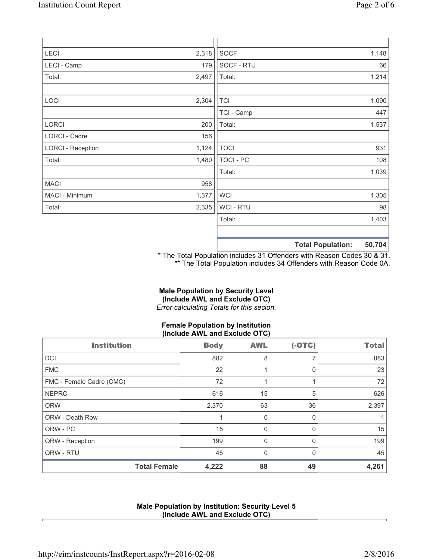| LECI                     | 2,318 | <b>SOCF</b> | 1,148 |
|--------------------------|-------|-------------|-------|
| LECI - Camp              | 179   | SOCF - RTU  | 66    |
| Total:                   | 2,497 | Total:      | 1,214 |
| LOCI                     | 2,304 | <b>TCI</b>  | 1,090 |
|                          |       | TCI - Camp  | 447   |
| <b>LORCI</b>             | 200   | Total:      | 1,537 |
| LORCI - Cadre            | 156   |             |       |
| <b>LORCI - Reception</b> | 1,124 | <b>TOCI</b> | 931   |
| Total:                   | 1,480 | TOCI - PC   | 108   |
|                          |       | Total:      | 1,039 |
| <b>MACI</b>              | 958   |             |       |
| MACI - Minimum           | 1,377 | <b>WCI</b>  | 1,305 |
| Total:                   | 2,335 | WCI - RTU   | 98    |
|                          |       | Total:      | 1,403 |
|                          |       |             |       |
|                          |       | .           |       |

**Total Population: 50,704**

\* The Total Population includes 31 Offenders with Reason Codes 30 & 31. \*\* The Total Population includes 34 Offenders with Reason Code 0A.

# **Male Population by Security Level (Include AWL and Exclude OTC)**

*Error calculating Totals for this secion.*

# **Female Population by Institution (Include AWL and Exclude OTC)**

| <b>Institution</b>       | <b>Body</b> | <b>AWL</b> | $(-OTC)$     | <b>Total</b> |
|--------------------------|-------------|------------|--------------|--------------|
| <b>DCI</b>               | 882         | 8          |              | 883          |
| <b>FMC</b>               | 22          |            | 0            | 23           |
| FMC - Female Cadre (CMC) | 72          |            |              | 72           |
| <b>NEPRC</b>             | 616         | 15         | 5            | 626          |
| <b>ORW</b>               | 2,370       | 63         | 36           | 2,397        |
| <b>ORW - Death Row</b>   |             | $\Omega$   | $\Omega$     |              |
| ORW - PC                 | 15          | 0          | <sup>0</sup> | 15           |
| ORW - Reception          | 199         | 0          | $\Omega$     | 199          |
| ORW - RTU                | 45          | $\Omega$   | $\Omega$     | 45           |
| <b>Total Female</b>      | 4,222       | 88         | 49           | 4,261        |

## **Male Population by Institution: Security Level 5 (Include AWL and Exclude OTC)**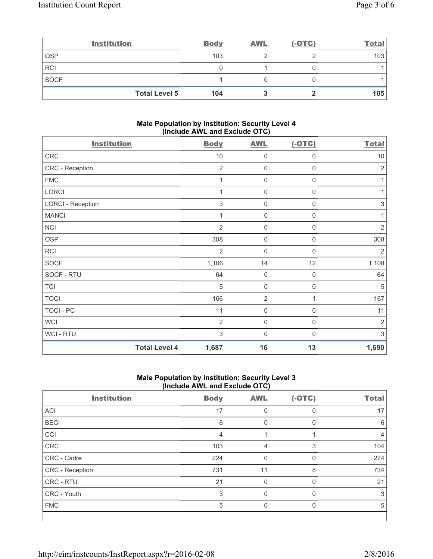|             | <b>Institution</b>   | <b>Body</b> | <b>AWL</b> | $(-OTC)$ | <b>Total</b> |
|-------------|----------------------|-------------|------------|----------|--------------|
| <b>OSP</b>  |                      | 103         |            |          | 103          |
| <b>RCI</b>  |                      |             |            |          |              |
| <b>SOCF</b> |                      |             |            |          |              |
|             | <b>Total Level 5</b> | 104         |            |          | 105          |

#### **Male Population by Institution: Security Level 4 (Include AWL and Exclude OTC)**

| <b>Institution</b>       |                      | <b>Body</b>    | <b>AWL</b>     | $(-OTC)$     | <b>Total</b>              |
|--------------------------|----------------------|----------------|----------------|--------------|---------------------------|
| CRC                      |                      | 10             | $\mathbf 0$    | 0            | $10$                      |
| CRC - Reception          |                      | $\overline{2}$ | $\mathbf 0$    | 0            | $\sqrt{2}$                |
| <b>FMC</b>               |                      | 1              | $\mathbf 0$    | $\mathsf 0$  | 1                         |
| LORCI                    |                      | 1              | 0              | 0            | 1                         |
| <b>LORCI - Reception</b> |                      | 3              | 0              | 0            | $\ensuremath{\mathsf{3}}$ |
| <b>MANCI</b>             |                      |                | $\mathbf 0$    | 0            | 1                         |
| <b>NCI</b>               |                      | $\overline{2}$ | $\mathbf 0$    | 0            | $\sqrt{2}$                |
| <b>OSP</b>               |                      | 308            | $\mathbf 0$    | $\mathsf 0$  | 308                       |
| RCI                      |                      | $\overline{2}$ | $\mathbf 0$    | $\mathsf 0$  | $\overline{2}$            |
| <b>SOCF</b>              |                      | 1,106          | 14             | 12           | 1,108                     |
| SOCF - RTU               |                      | 64             | $\mathbf 0$    | 0            | 64                        |
| <b>TCI</b>               |                      | 5              | $\mathbf 0$    | 0            | 5                         |
| <b>TOCI</b>              |                      | 166            | $\overline{2}$ | 1            | 167                       |
| TOCI - PC                |                      | 11             | 0              | $\mathsf 0$  | 11                        |
| <b>WCI</b>               |                      | $\overline{2}$ | $\mathbf 0$    | $\mathbf 0$  | $\overline{2}$            |
| <b>WCI-RTU</b>           |                      | 3              | $\mathbf 0$    | $\mathbf{0}$ | 3                         |
|                          | <b>Total Level 4</b> | 1,687          | 16             | 13           | 1,690                     |

## **Male Population by Institution: Security Level 3 (Include AWL and Exclude OTC)**

| <b>Institution</b> | <b>Body</b> | <b>AWL</b> | $(-OTC)$ | <b>Total</b> |
|--------------------|-------------|------------|----------|--------------|
| <b>ACI</b>         | 17          | $\Omega$   | $\Omega$ | 17           |
| <b>BECI</b>        | 6           | 0          | O        | 6            |
| CCI                | 4           |            |          | 4            |
| <b>CRC</b>         | 103         | 4          | 3        | 104          |
| CRC - Cadre        | 224         | $\Omega$   | $\Omega$ | 224          |
| CRC - Reception    | 731         | 11         | 8        | 734          |
| CRC - RTU          | 21          | $\Omega$   | O        | 21           |
| CRC - Youth        | 3           | 0          | O        | 3            |
| <b>FMC</b>         | 5           | $\Omega$   | $\Omega$ | 5            |
|                    |             |            |          |              |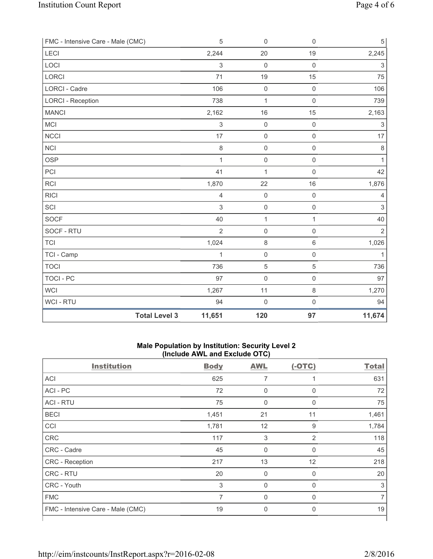| FMC - Intensive Care - Male (CMC) |                      | $\sqrt{5}$                | 0                   | $\mathsf 0$         | $\,$ 5 $\,$               |
|-----------------------------------|----------------------|---------------------------|---------------------|---------------------|---------------------------|
| LECI                              |                      | 2,244                     | 20                  | 19                  | 2,245                     |
| LOCI                              |                      | $\ensuremath{\mathsf{3}}$ | $\mathsf{O}\xspace$ | $\mathsf 0$         | 3                         |
| LORCI                             |                      | 71                        | 19                  | 15                  | 75                        |
| <b>LORCI - Cadre</b>              |                      | 106                       | $\mathsf{O}\xspace$ | $\mathsf 0$         | 106                       |
| <b>LORCI - Reception</b>          |                      | 738                       | 1                   | $\mathsf 0$         | 739                       |
| <b>MANCI</b>                      |                      | 2,162                     | 16                  | 15                  | 2,163                     |
| MCI                               |                      | $\ensuremath{\mathsf{3}}$ | $\mathsf{O}\xspace$ | $\mathsf{O}\xspace$ | $\ensuremath{\mathsf{3}}$ |
| <b>NCCI</b>                       |                      | 17                        | $\mathsf{O}\xspace$ | $\mathsf{O}\xspace$ | 17                        |
| <b>NCI</b>                        |                      | 8                         | $\mathsf 0$         | $\mathbf 0$         | 8                         |
| <b>OSP</b>                        |                      | $\mathbf{1}$              | $\mathsf 0$         | $\mathsf 0$         | $\mathbf{1}$              |
| PCI                               |                      | 41                        | $\mathbf{1}$        | $\mathsf{O}\xspace$ | 42                        |
| <b>RCI</b>                        |                      | 1,870                     | 22                  | 16                  | 1,876                     |
| <b>RICI</b>                       |                      | 4                         | $\mathsf 0$         | $\mathsf{O}\xspace$ | 4                         |
| SCI                               |                      | 3                         | $\mathsf 0$         | $\mathsf{O}\xspace$ | 3                         |
| SOCF                              |                      | 40                        | $\mathbf{1}$        | 1                   | 40                        |
| SOCF - RTU                        |                      | $\overline{2}$            | $\mathsf{O}\xspace$ | $\mathsf 0$         | $\overline{2}$            |
| <b>TCI</b>                        |                      | 1,024                     | $\,8\,$             | $\,6\,$             | 1,026                     |
| TCI - Camp                        |                      | 1                         | $\mathsf 0$         | $\mathsf 0$         | $\mathbf{1}$              |
| <b>TOCI</b>                       |                      | 736                       | $\sqrt{5}$          | 5                   | 736                       |
| <b>TOCI - PC</b>                  |                      | 97                        | $\mathsf{O}\xspace$ | $\mathsf{O}\xspace$ | 97                        |
| WCI                               |                      | 1,267                     | 11                  | $\,8\,$             | 1,270                     |
| WCI - RTU                         |                      | 94                        | $\mathsf{O}\xspace$ | $\mathsf{O}\xspace$ | 94                        |
|                                   | <b>Total Level 3</b> | 11,651                    | 120                 | 97                  | 11,674                    |

## **Male Population by Institution: Security Level 2 (Include AWL and Exclude OTC)**

| <b>Institution</b>                | <b>Body</b>    | <b>AWL</b>  | $(-OTC)$       | <b>Total</b> |
|-----------------------------------|----------------|-------------|----------------|--------------|
| <b>ACI</b>                        | 625            | 7           | 1              | 631          |
| ACI-PC                            | 72             | $\mathbf 0$ | 0              | 72           |
| <b>ACI - RTU</b>                  | 75             | $\mathbf 0$ | $\mathbf 0$    | 75           |
| <b>BECI</b>                       | 1,451          | 21          | 11             | 1,461        |
| <b>CCI</b>                        | 1,781          | 12          | 9              | 1,784        |
| <b>CRC</b>                        | 117            | $\sqrt{3}$  | $\overline{2}$ | 118          |
| CRC - Cadre                       | 45             | $\mathbf 0$ | $\mathbf 0$    | 45           |
| CRC - Reception                   | 217            | 13          | 12             | 218          |
| CRC - RTU                         | 20             | $\mathbf 0$ | $\mathbf 0$    | 20           |
| CRC - Youth                       | 3              | $\mathbf 0$ | $\mathbf 0$    | 3            |
| <b>FMC</b>                        | $\overline{7}$ | 0           | $\mathbf 0$    | 7            |
| FMC - Intensive Care - Male (CMC) | 19             | 0           | 0              | 19           |
|                                   |                |             |                |              |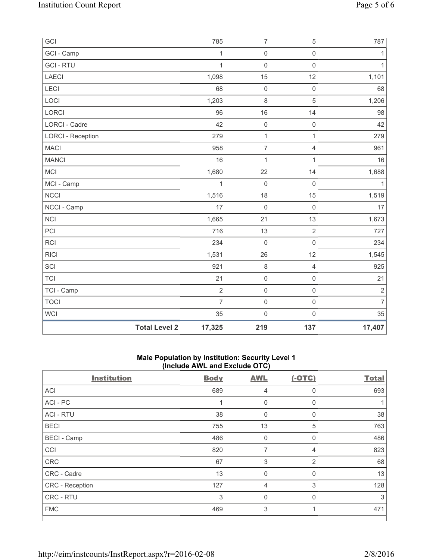| GCI                      |                      | 785            | $\overline{7}$      | 5                   | 787            |
|--------------------------|----------------------|----------------|---------------------|---------------------|----------------|
| GCI - Camp               |                      | $\mathbf{1}$   | $\mathsf{O}\xspace$ | $\mathsf 0$         | 1              |
| <b>GCI-RTU</b>           |                      | $\mathbf{1}$   | 0                   | $\mathbf 0$         | 1              |
| LAECI                    |                      | 1,098          | 15                  | 12                  | 1,101          |
| LECI                     |                      | 68             | $\mathsf{O}\xspace$ | $\mathsf 0$         | 68             |
| LOCI                     |                      | 1,203          | $\,8\,$             | 5                   | 1,206          |
| LORCI                    |                      | 96             | 16                  | 14                  | 98             |
| <b>LORCI - Cadre</b>     |                      | 42             | $\mathbf 0$         | $\mathsf 0$         | 42             |
| <b>LORCI - Reception</b> |                      | 279            | $\mathbf 1$         | $\mathbf{1}$        | 279            |
| <b>MACI</b>              |                      | 958            | $\overline{7}$      | $\overline{4}$      | 961            |
| <b>MANCI</b>             |                      | 16             | $\mathbf 1$         | $\mathbf{1}$        | 16             |
| MCI                      |                      | 1,680          | 22                  | 14                  | 1,688          |
| MCI - Camp               |                      | $\mathbf{1}$   | $\mathbf 0$         | $\mathsf 0$         | $\mathbf{1}$   |
| <b>NCCI</b>              |                      | 1,516          | 18                  | 15                  | 1,519          |
| NCCI - Camp              |                      | 17             | $\mathbf 0$         | $\mathsf 0$         | 17             |
| <b>NCI</b>               |                      | 1,665          | 21                  | 13                  | 1,673          |
| PCI                      |                      | 716            | 13                  | $\overline{2}$      | 727            |
| <b>RCI</b>               |                      | 234            | $\mathbf 0$         | $\mathbf 0$         | 234            |
| <b>RICI</b>              |                      | 1,531          | 26                  | 12                  | 1,545          |
| SCI                      |                      | 921            | $\,8\,$             | $\overline{4}$      | 925            |
| <b>TCI</b>               |                      | 21             | $\mathsf{O}\xspace$ | $\mathsf 0$         | 21             |
| TCI - Camp               |                      | $\overline{2}$ | $\mathsf 0$         | $\mathsf{O}\xspace$ | $\sqrt{2}$     |
| <b>TOCI</b>              |                      | $\overline{7}$ | $\mathsf{O}\xspace$ | $\mathsf 0$         | $\overline{7}$ |
| WCI                      |                      | 35             | $\mathsf{O}\xspace$ | $\mathsf{O}\xspace$ | 35             |
|                          | <b>Total Level 2</b> | 17,325         | 219                 | 137                 | 17,407         |

#### **Male Population by Institution: Security Level 1 (Include AWL and Exclude OTC)**

|                    | ,           |                |                |              |
|--------------------|-------------|----------------|----------------|--------------|
| <b>Institution</b> | <b>Body</b> | <b>AWL</b>     | $(-OTC)$       | <b>Total</b> |
| <b>ACI</b>         | 689         | 4              | 0              | 693          |
| ACI - PC           | $\mathbf 1$ | $\mathbf 0$    | $\mathbf 0$    |              |
| <b>ACI - RTU</b>   | 38          | $\mathbf 0$    | $\mathbf 0$    | 38           |
| <b>BECI</b>        | 755         | 13             | 5              | 763          |
| <b>BECI</b> - Camp | 486         | $\pmb{0}$      | 0              | 486          |
| CCI                | 820         | 7              | $\overline{4}$ | 823          |
| <b>CRC</b>         | 67          | $\sqrt{3}$     | $\overline{2}$ | 68           |
| CRC - Cadre        | 13          | 0              | 0              | 13           |
| CRC - Reception    | 127         | $\overline{4}$ | 3              | 128          |
| CRC - RTU          | 3           | 0              | 0              | 3            |
| <b>FMC</b>         | 469         | 3              | 1              | 471          |
|                    |             |                |                |              |